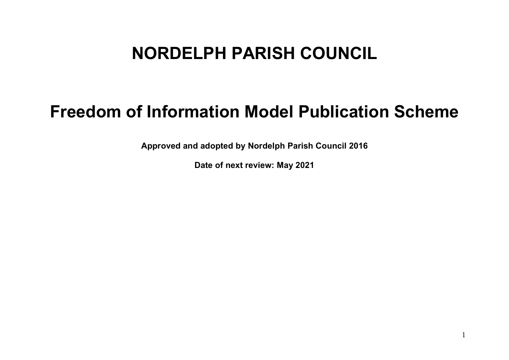## **NORDELPH PARISH COUNCIL**

## **Freedom of Information Model Publication Scheme**

**Approved and adopted by Nordelph Parish Council 2016**

**Date of next review: May 2021**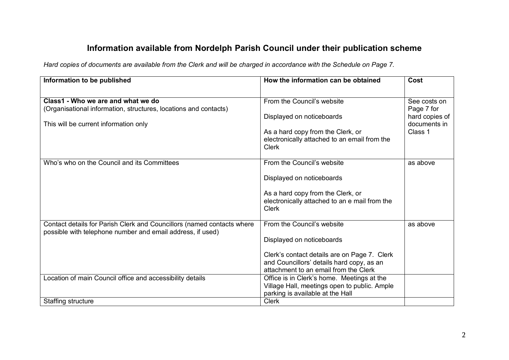## **Information available from Nordelph Parish Council under their publication scheme**

*Hard copies of documents are available from the Clerk and will be charged in accordance with the Schedule on Page 7.* 

| Information to be published                                            | How the information can be obtained           | Cost           |
|------------------------------------------------------------------------|-----------------------------------------------|----------------|
|                                                                        |                                               |                |
| Class1 - Who we are and what we do                                     | From the Council's website                    | See costs on   |
| (Organisational information, structures, locations and contacts)       |                                               | Page 7 for     |
|                                                                        | Displayed on noticeboards                     | hard copies of |
| This will be current information only                                  |                                               | documents in   |
|                                                                        | As a hard copy from the Clerk, or             | Class 1        |
|                                                                        | electronically attached to an email from the  |                |
|                                                                        | <b>Clerk</b>                                  |                |
| Who's who on the Council and its Committees                            | From the Council's website                    | as above       |
|                                                                        |                                               |                |
|                                                                        | Displayed on noticeboards                     |                |
|                                                                        |                                               |                |
|                                                                        | As a hard copy from the Clerk, or             |                |
|                                                                        | electronically attached to an e mail from the |                |
|                                                                        | <b>Clerk</b>                                  |                |
| Contact details for Parish Clerk and Councillors (named contacts where | From the Council's website                    | as above       |
| possible with telephone number and email address, if used)             |                                               |                |
|                                                                        | Displayed on noticeboards                     |                |
|                                                                        | Clerk's contact details are on Page 7. Clerk  |                |
|                                                                        | and Councillors' details hard copy, as an     |                |
|                                                                        | attachment to an email from the Clerk         |                |
| Location of main Council office and accessibility details              | Office is in Clerk's home. Meetings at the    |                |
|                                                                        | Village Hall, meetings open to public. Ample  |                |
|                                                                        | parking is available at the Hall              |                |
| Staffing structure                                                     | <b>Clerk</b>                                  |                |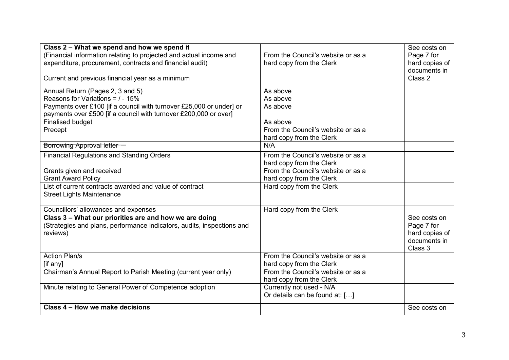| Class 2 – What we spend and how we spend it                            |                                    | See costs on   |
|------------------------------------------------------------------------|------------------------------------|----------------|
| (Financial information relating to projected and actual income and     | From the Council's website or as a | Page 7 for     |
| expenditure, procurement, contracts and financial audit)               | hard copy from the Clerk           | hard copies of |
|                                                                        |                                    | documents in   |
| Current and previous financial year as a minimum                       |                                    | Class 2        |
| Annual Return (Pages 2, 3 and 5)                                       | As above                           |                |
| Reasons for Variations = $/ - 15\%$                                    | As above                           |                |
| Payments over £100 [if a council with turnover £25,000 or under] or    | As above                           |                |
| payments over £500 [if a council with turnover £200,000 or over]       |                                    |                |
| <b>Finalised budget</b>                                                | As above                           |                |
| Precept                                                                | From the Council's website or as a |                |
|                                                                        | hard copy from the Clerk           |                |
| Borrowing Approval letter                                              | N/A                                |                |
| <b>Financial Regulations and Standing Orders</b>                       | From the Council's website or as a |                |
|                                                                        | hard copy from the Clerk           |                |
| Grants given and received                                              | From the Council's website or as a |                |
| <b>Grant Award Policy</b>                                              | hard copy from the Clerk           |                |
| List of current contracts awarded and value of contract                | Hard copy from the Clerk           |                |
| <b>Street Lights Maintenance</b>                                       |                                    |                |
|                                                                        |                                    |                |
| Councillors' allowances and expenses                                   | Hard copy from the Clerk           |                |
| Class 3 - What our priorities are and how we are doing                 |                                    | See costs on   |
| (Strategies and plans, performance indicators, audits, inspections and |                                    | Page 7 for     |
| reviews)                                                               |                                    | hard copies of |
|                                                                        |                                    | documents in   |
|                                                                        |                                    | Class 3        |
| <b>Action Plan/s</b>                                                   | From the Council's website or as a |                |
| [if any]                                                               | hard copy from the Clerk           |                |
| Chairman's Annual Report to Parish Meeting (current year only)         | From the Council's website or as a |                |
|                                                                        | hard copy from the Clerk           |                |
| Minute relating to General Power of Competence adoption                | Currently not used - N/A           |                |
|                                                                        | Or details can be found at: []     |                |
| Class 4 – How we make decisions                                        |                                    | See costs on   |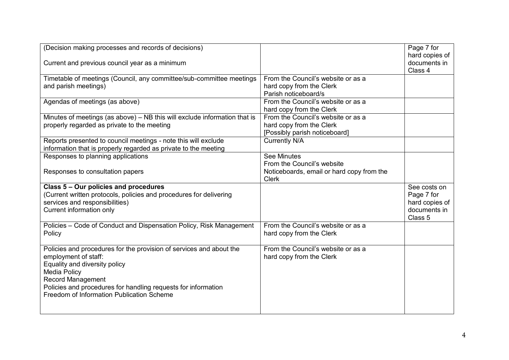| (Decision making processes and records of decisions)                                                                                                                                                                                                                                          |                                                                                                 | Page 7 for<br>hard copies of |
|-----------------------------------------------------------------------------------------------------------------------------------------------------------------------------------------------------------------------------------------------------------------------------------------------|-------------------------------------------------------------------------------------------------|------------------------------|
| Current and previous council year as a minimum                                                                                                                                                                                                                                                |                                                                                                 | documents in<br>Class 4      |
| Timetable of meetings (Council, any committee/sub-committee meetings<br>and parish meetings)                                                                                                                                                                                                  | From the Council's website or as a<br>hard copy from the Clerk<br>Parish noticeboard/s          |                              |
| Agendas of meetings (as above)                                                                                                                                                                                                                                                                | From the Council's website or as a<br>hard copy from the Clerk                                  |                              |
| Minutes of meetings (as above) - NB this will exclude information that is<br>properly regarded as private to the meeting                                                                                                                                                                      | From the Council's website or as a<br>hard copy from the Clerk<br>[Possibly parish noticeboard] |                              |
| Reports presented to council meetings - note this will exclude<br>information that is properly regarded as private to the meeting                                                                                                                                                             | <b>Currently N/A</b>                                                                            |                              |
| Responses to planning applications                                                                                                                                                                                                                                                            | <b>See Minutes</b><br>From the Council's website                                                |                              |
| Responses to consultation papers                                                                                                                                                                                                                                                              | Noticeboards, email or hard copy from the<br><b>Clerk</b>                                       |                              |
| Class 5 - Our policies and procedures                                                                                                                                                                                                                                                         |                                                                                                 | See costs on                 |
| (Current written protocols, policies and procedures for delivering                                                                                                                                                                                                                            |                                                                                                 | Page 7 for                   |
| services and responsibilities)                                                                                                                                                                                                                                                                |                                                                                                 | hard copies of               |
| Current information only                                                                                                                                                                                                                                                                      |                                                                                                 | documents in<br>Class 5      |
| Policies - Code of Conduct and Dispensation Policy, Risk Management<br>Policy                                                                                                                                                                                                                 | From the Council's website or as a<br>hard copy from the Clerk                                  |                              |
| Policies and procedures for the provision of services and about the<br>employment of staff:<br>Equality and diversity policy<br><b>Media Policy</b><br><b>Record Management</b><br>Policies and procedures for handling requests for information<br>Freedom of Information Publication Scheme | From the Council's website or as a<br>hard copy from the Clerk                                  |                              |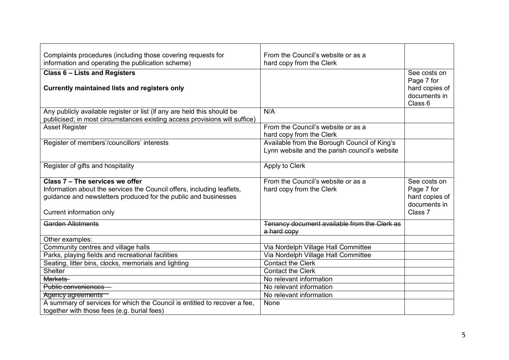| Complaints procedures (including those covering requests for               | From the Council's website or as a            |                |
|----------------------------------------------------------------------------|-----------------------------------------------|----------------|
| information and operating the publication scheme)                          | hard copy from the Clerk                      |                |
| <b>Class 6 - Lists and Registers</b>                                       |                                               | See costs on   |
|                                                                            |                                               | Page 7 for     |
| <b>Currently maintained lists and registers only</b>                       |                                               | hard copies of |
|                                                                            |                                               | documents in   |
|                                                                            |                                               | Class 6        |
| Any publicly available register or list (if any are held this should be    | N/A                                           |                |
| publicised; in most circumstances existing access provisions will suffice) |                                               |                |
| <b>Asset Register</b>                                                      | From the Council's website or as a            |                |
|                                                                            | hard copy from the Clerk                      |                |
| Register of members'/councillors' interests                                | Available from the Borough Council of King's  |                |
|                                                                            | Lynn website and the parish council's website |                |
|                                                                            |                                               |                |
| Register of gifts and hospitality                                          | Apply to Clerk                                |                |
|                                                                            |                                               |                |
| Class 7 - The services we offer                                            | From the Council's website or as a            | See costs on   |
| Information about the services the Council offers, including leaflets,     | hard copy from the Clerk                      | Page 7 for     |
| guidance and newsletters produced for the public and businesses            |                                               | hard copies of |
|                                                                            |                                               | documents in   |
| Current information only                                                   |                                               | Class 7        |
| Garden Allotments                                                          | Tenancy document available from the Clerk as  |                |
|                                                                            | a hard copy                                   |                |
| Other examples:                                                            |                                               |                |
| Community centres and village halls                                        | Via Nordelph Village Hall Committee           |                |
| Parks, playing fields and recreational facilities                          | Via Nordelph Village Hall Committee           |                |
| Seating, litter bins, clocks, memorials and lighting                       | <b>Contact the Clerk</b>                      |                |
| Shelter                                                                    | <b>Contact the Clerk</b>                      |                |
| Markets-                                                                   | No relevant information                       |                |
| Public conveniences                                                        | No relevant information                       |                |
| Agency agreements                                                          | No relevant information                       |                |
| A summary of services for which the Council is entitled to recover a fee,  | None                                          |                |
| together with those fees (e.g. burial fees)                                |                                               |                |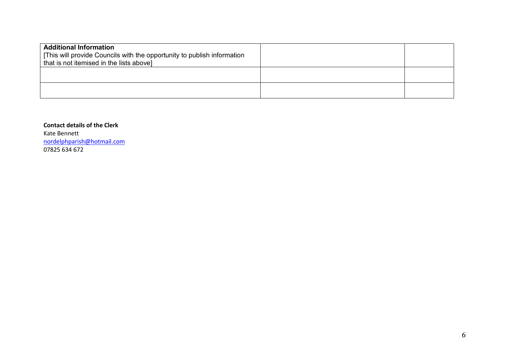| <b>Additional Information</b><br>[This will provide Councils with the opportunity to publish information<br>that is not itemised in the lists above] |  |
|------------------------------------------------------------------------------------------------------------------------------------------------------|--|
|                                                                                                                                                      |  |
|                                                                                                                                                      |  |

**Contact details of the Clerk** Kate Bennett [nordelphparish@hotmail.com](mailto:nordelphparish@hotmail.com) 07825 634 672